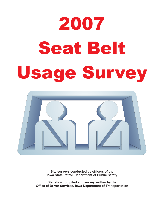# 2007 **Seat Belt** Seat Belti Belti Belti Belti Belti Belti Belti Belti Belti Belti Belti Belti Belti Belti Belti Belti Belti Bel<br>Seat Belti Belti Belti Belti Belti Belti Belti Belti Belti Belti Belti Belti Belti Belti Belti Belti Belti Bel



**Site surveys conducted by officers of the Iowa State Patrol, Department of Public Safety**

**Statistics compiled and survey written by the Office of Driver Services, Iowa Department of Transportation**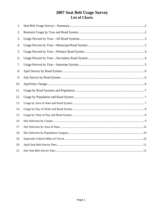# 2007 Seat Belt Usage Survey List of Charts

| 1.  |  |
|-----|--|
| 2.  |  |
| 3.  |  |
| 4.  |  |
| 5.  |  |
| 6.  |  |
| 7.  |  |
| 8.  |  |
| 9.  |  |
| 10. |  |
| 11. |  |
| 12. |  |
| 13. |  |
| 14. |  |
| 15. |  |
| 16. |  |
| 17. |  |
| 18. |  |
| 19. |  |
| 20. |  |
| 21. |  |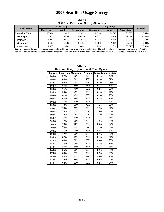# **2010 Sat Belt Usage Survey 2007 Seat Belt Usage Survey**

**Chart 1 2007 Seat Belt Usage Survey--Summary**

| <b>Road System</b> | <b>April Usage</b> |             |            |                 | Change      |            |           |
|--------------------|--------------------|-------------|------------|-----------------|-------------|------------|-----------|
|                    | <b>Observed</b>    | <b>Used</b> | Percentage | <b>Observed</b> | <b>Used</b> | Percentage |           |
| l Statewide Total  | 13.604             | 12.429      | 91.82%     | 15.318          | 13.927      | 91.27%     | $-0.54%$  |
| <b>Municipal</b>   | 5.976              | 5.409       | 90.51%     | 6.377           | 5.716       | 89.63%     | $-0.88%$  |
| Primary            | 5.074              | 4.650       | 91.64%     | 5.938           | 5.468       | 92.08%     | 0.44%     |
| Secondary          | 1.132              | 1.039       | 91.78%     | 1.208           | 1.131       | 93.63%     | 1.84%     |
| <b>Interstate</b>  | 1.422              | 1.331       | 93.60%     | 1.795           | 1,612       | 89.81%     | $-3.80\%$ |

**Estimated statewide total April survey usage weighted by vehicles miles of travel and 95% confidence intervals for the estimated variance are +/- 0.15%** Estimated statewide total July survey usage weighted by vehicles miles of travel and 95% confidence intervals for the estimated variance are +/- 0.14%

| Restraint Usage by Year and Road System |     |                     |         |                      |     |  |  |  |  |
|-----------------------------------------|-----|---------------------|---------|----------------------|-----|--|--|--|--|
| Survey                                  |     | Statewide Municipal | Primary | Secondary Interstate |     |  |  |  |  |
| 06/86                                   | 27% | 20%                 | 27%     | 24%                  | 43% |  |  |  |  |
| 09/86                                   | 46% | 34%                 | 48%     | 42%                  | 62% |  |  |  |  |
| 04/87                                   | 63% | 54%                 | 65%     | 64%                  | 69% |  |  |  |  |
| 09/87                                   | 56% | 48%                 | 56%     | 55%                  | 67% |  |  |  |  |
| 09/88                                   | 55% | 46%                 | 55%     | 52%                  | 69% |  |  |  |  |
| 09/89                                   | 59% | 49%                 | 56%     | 61%                  | 72% |  |  |  |  |
| 09/90                                   | 61% | 49%                 | 60%     | 61%                  | 76% |  |  |  |  |
| 09/91                                   | 68% | 64%                 | 64%     | 64%                  | 79% |  |  |  |  |
| 09/92                                   | 71% | 62%                 | 69%     | 71%                  | 83% |  |  |  |  |
| 09/93                                   | 73% | 59%                 | 73%     | 71%                  | 80% |  |  |  |  |
| 09/94                                   | 73% | 63%                 | 72%     | 72%                  | 82% |  |  |  |  |
| 09/95                                   | 75% | 65%                 | 75%     | 76%                  | 85% |  |  |  |  |
| 09/96                                   | 75% | 69%                 | 74%     | 71%                  | 85% |  |  |  |  |
| 11/97                                   | 75% | 69%                 | 74%     | 71%                  | 85% |  |  |  |  |
| 10/98                                   | 77% | 70%                 | 76%     | 79%                  | 84% |  |  |  |  |
| 10/99                                   | 78% | 72%                 | 78%     | 80%                  | 84% |  |  |  |  |
| 10/00                                   | 78% | 73%                 | 79%     | 77%                  | 82% |  |  |  |  |
| 10/01                                   | 81% | 76%                 | 83%     | 83%                  | 81% |  |  |  |  |
| 09/02                                   | 82% | 79%                 | 83%     | 87%                  | 81% |  |  |  |  |
| 03/03                                   | 82% | 78%                 | 86%     | 81%                  | 82% |  |  |  |  |
| 07/03                                   | 86% | 82%                 | 88%     | 83%                  | 90% |  |  |  |  |
| 04/04                                   | 84% | 79%                 | 84%     | 88%                  | 84% |  |  |  |  |
| 07/04                                   | 86% | 84%                 | 87%     | 86%                  | 88% |  |  |  |  |
| 04/05                                   | 85% | 78%                 | 87%     | 89%                  | 85% |  |  |  |  |
| 07/05                                   | 86% | 81%                 | 86%     | 87%                  | 88% |  |  |  |  |
| 04/06                                   | 89% | 87%                 | 89%     | 90%                  | 90% |  |  |  |  |
| 07/06                                   | 89% | 84%                 | 89%     | 90%                  | 92% |  |  |  |  |
| 07/07                                   | 92% | 91%                 | 92%     | 92%                  | 94% |  |  |  |  |

**Chart 2 Restraint Usage by Year and Road System**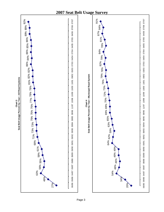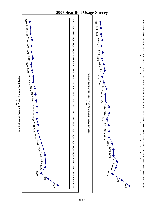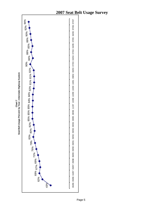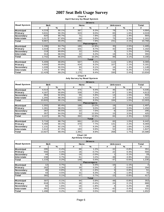**Chart 8 April Survey by Road System**

|                    | <b>Drivers</b> |               |             |                   |                |      |        |  |  |
|--------------------|----------------|---------------|-------------|-------------------|----------------|------|--------|--|--|
| <b>Road System</b> | <b>Belt</b>    |               | <b>None</b> |                   | <b>Unknown</b> |      | Total  |  |  |
|                    | #              | $\frac{1}{6}$ | #           | %                 | #              | %    | #      |  |  |
| <b>Municipal</b>   | 4,219          | 90.1%         | 387         | 8.3%              | 78             | 1.7% | 4,684  |  |  |
| Primary            | 3,631          | 90.3%         | 323         | 8.0%              | 65             | 1.6% | 4,019  |  |  |
| Secondary          | 820            | 90.7%         | 71          | 7.9%              | 13             | 1.4% | 904    |  |  |
| <b>Interstate</b>  | 1,017          | 87.6%         | 69          | 5.9%              | 75             | 6.5% | 1,161  |  |  |
| Total              | 9,687          | 90.0%         | 850         | 7.9%              | 231            | 2.1% | 10,768 |  |  |
|                    |                |               |             | <b>Passengers</b> |                |      |        |  |  |
| <b>Municipal</b>   | 1,190          | 84.7%         | 180         | 12.8%             | 35             | 2.5% | 1,405  |  |  |
| Primary            | 1,019          | 87.7%         | 101         | 8.7%              | 42             | 3.6% | 1,162  |  |  |
| Secondary          | 219            | 89.8%         | 22          | 9.0%              | 3              | 1.2% | 244    |  |  |
| <b>Interstate</b>  | 314            | 88.5%         | 22          | 6.2%              | 19             | 5.4% | 355    |  |  |
| Total              | 2,742          | 86.6%         | 325         | 10.3%             | 99             | 3.1% | 3,166  |  |  |
|                    |                |               |             | <b>Total</b>      |                |      |        |  |  |
| <b>Municipal</b>   | 5,409          | 88.8%         | 567         | 9.3%              | 113            | 1.9% | 6,089  |  |  |
| Primary            | 4,650          | 89.8%         | 424         | 8.2%              | 107            | 2.1% | 5,181  |  |  |
| Secondary          | 1,039          | 90.5%         | 93          | 8.1%              | 16             | 1.4% | 1,148  |  |  |
| <b>Interstate</b>  | 1,331          | 87.8%         | 91          | 6.0%              | 94             | 6.2% | 1,516  |  |  |
| Total              | 12,429         | 89.2%         | 1,175       | 8.4%              | 330            | 2.4% | 13,934 |  |  |

### **Chart 9**

**July Survey by Road System**

|                    | <b>Drivers</b> |             |       |                   |     |                |              |  |  |
|--------------------|----------------|-------------|-------|-------------------|-----|----------------|--------------|--|--|
| <b>Road System</b> |                | <b>Belt</b> |       | <b>None</b>       |     | <b>Unknown</b> | <b>Total</b> |  |  |
|                    | #              | %           | #     | $\%$              | #   | %              | #            |  |  |
| Municipal          | 4,514          | 89.7%       | 475   | 9.4%              | 46  | 0.9%           | 5,035        |  |  |
| Primary            | 4,187          | 90.8%       | 339   | 7.3%              | 87  | 1.9%           | 4,613        |  |  |
| Secondary          | 864            | 92.6%       | 55    | 5.9%              | 14  | 1.5%           | 933          |  |  |
| Interstate         | 1,255          | 88.3%       | 130   | 9.1%              | 37  | 2.6%           | 1,422        |  |  |
| <b>Total</b>       | 10,820         | 90.1%       | 999   | 8.3%              | 184 | 1.5%           | 12,003       |  |  |
|                    |                |             |       | <b>Passengers</b> |     |                |              |  |  |
| Municipal          | 1,202          | 85.4%       | 186   | 13.2%             | 19  | 1.4%           | 1,407        |  |  |
| Primary            | 1,281          | 88.0%       | 131   | 9.0%              | 44  | 3.0%           | 1,456        |  |  |
| Secondary          | 267            | 90.5%       | 22    | 7.5%              | 6   | 2.0%           | 295          |  |  |
| Interstate         | 357            | 84.0%       | 53    | 12.5%             | 15  | 3.5%           | 425          |  |  |
| Total              | 3,107          | 86.7%       | 392   | 10.9%             | 84  | 2.3%           | 3,583        |  |  |
|                    |                |             |       | <b>Total</b>      |     |                |              |  |  |
| Municipal          | 5,716          | 88.7%       | 661   | 10.3%             | 65  | 1.0%           | 6,442        |  |  |
| Primary            | 5,468          | 90.1%       | 470   | 7.7%              | 131 | 2.2%           | 6,069        |  |  |
| Secondary          | 1,131          | 92.1%       | 77    | 6.3%              | 20  | 1.6%           | 1,228        |  |  |
| Interstate         | 1,612          | 87.3%       | 183   | 9.9%              | 52  | 2.8%           | 1,847        |  |  |
| Total              | 13,927         | 89.4%       | 1,391 | 8.9%              | 268 | 1.7%           | 15,586       |  |  |

### **Chart 10 April/July Change**

|                    | <b>Drivers</b> |         |             |                   |                |               |                |  |
|--------------------|----------------|---------|-------------|-------------------|----------------|---------------|----------------|--|
| <b>Road System</b> | <b>Belt</b>    |         | <b>None</b> |                   | <b>Unknown</b> |               | Total          |  |
|                    | #              | %       | #           | %                 | #              | $\frac{9}{6}$ | #              |  |
| <b>Municipal</b>   | 295            | $-0.4%$ | 88          | 1.2%              | $-32$          | $-0.8%$       | 351            |  |
| Primary            | 556            | 0.4%    | 16          | $-0.7%$           | 22             | 0.3%          | 594            |  |
| Secondary          | 44             | 1.9%    | $-16$       | $-2.0%$           |                | 0.1%          | 29             |  |
| Interstate         | 238            | 0.7%    | 61          | 3.2%              | $-38$          | $-3.9%$       | 261            |  |
| Total              | 1,133          | 0.2%    | 149         | 0.4%              | $-47$          | $-0.6%$       | 1,235          |  |
|                    |                |         |             | <b>Passengers</b> |                |               |                |  |
| <b>Municipal</b>   | 12             | 0.7%    | 6           | 0.4%              | $-16$          | $-1.1%$       | $\overline{2}$ |  |
| Primary            | 262            | 0.3%    | 30          | 0.3%              |                | $-0.6%$       | 294            |  |
| Secondary          | 48             | 0.8%    | $\Omega$    | $-1.6%$           | 3              | 0.8%          | 51             |  |
| Interstate         | 43             | $-4.5%$ | 31          | 6.3%              | $-4$           | $-1.8%$       | 70             |  |
| Total              | 365            | 0.1%    | 67          | 0.7%              | $-15$          | $-0.8%$       | 417            |  |
|                    |                |         |             | <b>Total</b>      |                |               |                |  |
| <b>Municipal</b>   | 307            | $-0.1%$ | 94          | 0.9%              | $-48$          | $-0.8%$       | 353            |  |
| Primary            | 818            | 0.3%    | 46          | $-0.4%$           | 24             | 0.1%          | 888            |  |
| Secondary          | 92             | 1.6%    | $-16$       | $-1.8%$           | 4              | 0.2%          | 80             |  |
| Interstate         | 281            | $-0.5%$ | 92          | 3.9%              | $-42$          | $-3.4%$       | 331            |  |
| Total              | 1,498          | 0.2%    | 216         | 0.5%              | $-62$          | $-0.6%$       | 1,652          |  |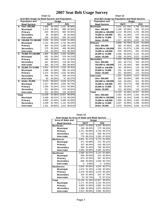|              | Chart 11                                      |        |              |        |        |  |  |  |  |
|--------------|-----------------------------------------------|--------|--------------|--------|--------|--|--|--|--|
|              | Seat Belt Usage by Road System and Population |        |              |        |        |  |  |  |  |
|              | <b>Population and</b>                         |        | <b>Usage</b> |        |        |  |  |  |  |
|              | <b>Road System</b>                            |        | April        |        | July   |  |  |  |  |
| A            | Over 200,000                                  | 1.948  | 92.10%       | 2,167  | 90.56% |  |  |  |  |
|              | <b>Municipal</b>                              | 1,213  | 93.38%       | 888    | 92.50% |  |  |  |  |
|              | Primary                                       | 433    | 88.01%       | 684    | 92.56% |  |  |  |  |
|              | Secondary                                     | 46     | 93.88%       | 35     | 94.59% |  |  |  |  |
|              | <b>Interstate</b>                             | 256    | 93.09%       | 560    | 85.24% |  |  |  |  |
| в            | 150,000 TO 199,999                            | 2.605  | 91.24%       | 3.948  | 91.49% |  |  |  |  |
|              | <b>Municipal</b>                              | 1,110  | 89.23%       | 1,732  | 88.23% |  |  |  |  |
|              | Primary                                       | 904    | 91.87%       | 1,289  | 93.14% |  |  |  |  |
|              | Secondary                                     | 275    | 95.16%       | 406    | 95.08% |  |  |  |  |
|              | <b>Interstate</b>                             | 316    | 93.49%       | 521    | 96.30% |  |  |  |  |
| C            | 75,000 TO 149,999                             | 1,955  | 91.06%       | 1,503  | 84.68% |  |  |  |  |
|              | <b>Municipal</b>                              | 681    | 91.29%       | 576    | 84.21% |  |  |  |  |
|              | Primary                                       | 649    | 89.64%       | 451    | 82.00% |  |  |  |  |
|              | Secondary                                     | 161    | 89.94%       | 118    | 86.76% |  |  |  |  |
|              | <b>Interstate</b>                             | 464    | 93.17%       | 358    | 88.40% |  |  |  |  |
| D            | 25,000 TO 74,999                              | 2.851  | 92.87%       | 2.283  | 93.45% |  |  |  |  |
|              | <b>Municipal</b>                              | 1,088  | 91.28%       | 895    | 91.42% |  |  |  |  |
|              | Primary                                       | 1,374  | 94.30%       | 1,032  | 95.56% |  |  |  |  |
|              | Secondary                                     | 306    | 92.17%       | 299    | 94.32% |  |  |  |  |
|              | <b>Interstate</b>                             | 83     | 93.26%       | 57     | 85.07% |  |  |  |  |
| Е            | <b>Under 25,000</b>                           | 3,070  | 89.84%       | 4,026  | 91.67% |  |  |  |  |
|              | <b>Municipal</b>                              | 1,317  | 88.09%       | 1,625  | 90.73% |  |  |  |  |
|              | Primary                                       | 1,290  | 91.04%       | 2,012  | 92.08% |  |  |  |  |
|              | Secondary                                     | 251    | 88.69%       | 273    | 93.81% |  |  |  |  |
|              | <b>Interstate</b>                             | 212    | 95.50%       | 116    | 92.80% |  |  |  |  |
| <b>Total</b> |                                               | 12.429 | 91.36%       | 13.927 | 90.92% |  |  |  |  |
|              | <b>Municipal</b>                              | 5,409  | 90.51%       | 5,716  | 89.63% |  |  |  |  |
|              | Primary                                       | 4,650  | 91.64%       | 5,468  | 92.08% |  |  |  |  |
|              | Secondary                                     | 1,039  | 91.78%       | 1,131  | 93.63% |  |  |  |  |
|              | <b>Interstate</b>                             | 1,331  | 93.60%       | 1,612  | 89.81% |  |  |  |  |

| $\mathbf{r}$ but $\mathbf{v}$<br>Chart 12     |        |         |        |         |  |  |  |
|-----------------------------------------------|--------|---------|--------|---------|--|--|--|
| Seat Belt Usage by Population and Road System |        |         |        |         |  |  |  |
| <b>Population and</b>                         |        | Usage   |        |         |  |  |  |
| <b>Road System</b>                            |        | April   |        | July    |  |  |  |
| <b>Municipal</b>                              | 5,070  | 122.79% | 5,758  | 124.44% |  |  |  |
| Over 200,000                                  | 1,188  | 92.38%  | 945    | 92.11%  |  |  |  |
| 150,000 to 199,999                            | 1,110  | 89.23%  | 1,732  | 88.23%  |  |  |  |
| 75,000 to 149,999                             | 681    | 91.29%  | 576    | 84.21%  |  |  |  |
| 25,000 to 74,999                              | 774    | 90.74%  | 880    | 92.24%  |  |  |  |
| <b>Under 25,000</b>                           | 1,317  | 88.09%  | 1,625  | 90.73%  |  |  |  |
| Primary                                       | 4,656  | 91.74%  | 5,141  | 91.82%  |  |  |  |
| Over 200,000                                  | 365    | 87.95%  | 258    | 88.66%  |  |  |  |
| 150,000 to 199,999                            | 904    | 91.87%  | 1,289  | 93.14%  |  |  |  |
| 75,000 to 149,999                             | 649    | 89.64%  | 451    | 82.00%  |  |  |  |
| 25,000 to 74,999                              | 1.448  | 94.33%  | 1,131  | 95.12%  |  |  |  |
| <b>Under 25,000</b>                           | 1,290  | 91.04%  | 2,012  | 92.08%  |  |  |  |
| Secondary                                     | 1,372  | 92.52%  | 1,416  | 94.02%  |  |  |  |
| Over 200,000                                  | 453    | 94.77%  | 419    | 94.37%  |  |  |  |
| 150,000 to 199,999                            | 275    | 95.16%  | 406    | 95.08%  |  |  |  |
| 75,000 to 149,999                             | 161    | 89.94%  | 118    | 86.76%  |  |  |  |
| 25.000 to 74.999                              | 232    | 91.34%  | 200    | 96.15%  |  |  |  |
| <b>Under 25,000</b>                           | 251    | 88.69%  | 273    | 93.81%  |  |  |  |
| <b>Interstate</b>                             | 1,331  | 93.60%  | 1,612  | 89.81%  |  |  |  |
| Over 200,000                                  | 256    | 93.09%  | 560    | 85.24%  |  |  |  |
| 150,000 to 199,999                            | 316    | 93.49%  | 521    | 96.30%  |  |  |  |
| 75,000 to 149,999                             | 464    | 93.17%  | 358    | 88.40%  |  |  |  |
| 25,000 to 74,999                              | 83     | 93.26%  | 57     | 85.07%  |  |  |  |
| <b>Under 25,000</b>                           | 212    | 95.50%  | 116    | 92.80%  |  |  |  |
| Total                                         | 12,429 | 91.36%  | 13,927 | 90.92%  |  |  |  |
| Over 200,000                                  | 2,262  | 92.18%  | 2,182  | 90.24%  |  |  |  |
| 150,000 to 199,999                            | 2,605  | 91.24%  | 3,948  | 91.49%  |  |  |  |
| 75,000 to 149,999                             | 1,955  | 91.06%  | 1,503  | 84.68%  |  |  |  |
| 25,000 to 74,999                              | 2,537  | 92.90%  | 2,268  | 93.80%  |  |  |  |
| <b>Under 25,000</b>                           | 3,070  | 89.84%  | 4,026  | 91.67%  |  |  |  |

| Seat Usage by Area of State and Road System |       |               |       |               |  |  |  |
|---------------------------------------------|-------|---------------|-------|---------------|--|--|--|
| Area of State and                           |       | <b>Usage</b>  |       |               |  |  |  |
| <b>Road System</b>                          |       | April         |       | July          |  |  |  |
| <b>Northeast</b>                            |       | 2,653 91.83%  | 4.020 | 90.81%        |  |  |  |
| <b>Municipal</b>                            | 169   | 96.02%        | 173   | 94.54%        |  |  |  |
| Primary                                     | 1.471 | 94.66%        |       | 1.718 92.47%  |  |  |  |
| Secondary                                   | 237   | 91.51%        | 536   | 94.37%        |  |  |  |
| <b>Interstate</b>                           |       | 776 86.22%    |       | 1.593 87.62%  |  |  |  |
| <b>Northwest</b>                            | 3,851 | 91.17%        |       | 3,773 91.00%  |  |  |  |
| <b>Municipal</b>                            | 371   | 94.88%        |       | 272 94.12%    |  |  |  |
| Primary                                     | 437   | 88.64%        | 419   | 88.21%        |  |  |  |
| Secondary                                   | 959   | 91.60%        | 790   | 86.53%        |  |  |  |
| <b>Interstate</b>                           |       | 2.084 90.89%  | 2,292 | 92.83%        |  |  |  |
| <b>Southeast</b>                            | 2.090 | 92.07%        |       | 2,110 91.66%  |  |  |  |
| <b>Municipal</b>                            | 558   | 90.00%        | 514   | 92.95%        |  |  |  |
| Primary                                     | 674   | 92.58%        | 567   | 92.20%        |  |  |  |
| Secondary                                   | 858   | 93.06%        | 1.029 | 90.74%        |  |  |  |
| <b>Interstate</b>                           | 0     | $0.00\%$      | 0     | $0.00\%$      |  |  |  |
| Southwest                                   | 3.835 | 90.86%        | 4,024 | 90.57%        |  |  |  |
| Municipal                                   | 1.073 | 91.32%        | 1.156 | 92.93%        |  |  |  |
| Primary                                     | 2.376 | 90.48%        |       | 2.278 90.18%  |  |  |  |
| Secondary                                   | 332   | 91.46%        | 515   | 87.73%        |  |  |  |
| <b>Interstate</b>                           | 54    | 94.74%        | 75    | 87.21%        |  |  |  |
| Total                                       |       | 12.429 91.36% |       | 13.927 90.92% |  |  |  |
| Municipal                                   | 2.171 | 91.91%        | 2.115 | 93.21%        |  |  |  |
| Primary                                     |       | 4.958 91.80%  | 4.982 | 91.01%        |  |  |  |
| Secondary                                   |       | 2.386 92.09%  | 2.870 | 89.63%        |  |  |  |
| <b>Interstate</b>                           |       | 2,914 89.66%  | 3,960 | 90.56%        |  |  |  |

| Chart 13                                 |  |  |  |  |  |  |
|------------------------------------------|--|--|--|--|--|--|
| t Usage by Area of State and Road Svsten |  |  |  |  |  |  |
| all Otata and                            |  |  |  |  |  |  |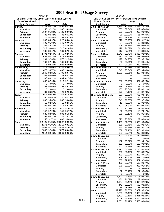| Seat Belt Usage by Day of Week and Road System |              |              |        |              |  |  |  |
|------------------------------------------------|--------------|--------------|--------|--------------|--|--|--|
| Day of Week and                                | <b>Usage</b> |              |        |              |  |  |  |
| <b>Road System</b>                             |              | April        | July   |              |  |  |  |
| Sunday                                         | 2.287        | 92.37%       | 2.491  | 92.46%       |  |  |  |
| <b>Municipal</b>                               | 152          | 92.12%       | 280    | 93.33%       |  |  |  |
| Primary                                        | 1,627        | 91.82%       | 1,720  | 92.03%       |  |  |  |
| Secondary                                      | 483          | 94.34%       | 438    | 94.19%       |  |  |  |
| <b>Interstate</b>                              | 25           | 92.59%       |        | 53 88.33%    |  |  |  |
| Monday                                         |              | 1,249 89.92% |        | 1,228 85.81% |  |  |  |
| <b>Municipal</b>                               | 382          | 91.83%       | 342    | 90.96%       |  |  |  |
| Primary                                        | 204          | 89.87%       | 171    | 84.65%       |  |  |  |
| Secondary                                      | 527          | 90.09%       | 526    | 82.45%       |  |  |  |
| <b>Interstate</b>                              | 136          | 84.47%       | 189    | 87.91%       |  |  |  |
| <b>Tuesday</b>                                 | 2,491        | 92.50%       | 2,759  | 92.80%       |  |  |  |
| <b>Municipal</b>                               | 655          | 93.30%       | 575    | 96.96%       |  |  |  |
| Primary                                        | 291          | 92.38%       | 377    | 91.50%       |  |  |  |
| Secondary                                      | 769          | 92.10%       | 785    | 89.10%       |  |  |  |
| <b>Interstate</b>                              | 776          | 92.27%       | 1,022  | 94.02%       |  |  |  |
| Wednesday                                      | 2,514        | 90.63%       | 3,341  | 89.07%       |  |  |  |
| <b>Municipal</b>                               | 479          | 90.72%       | 433    | 90.40%       |  |  |  |
| Primary                                        | 1.548        | 92.81%       | 1.492  | 89.77%       |  |  |  |
| Secondary                                      | 201          | 90.95%       | 722    | 95.13%       |  |  |  |
| <b>Interstate</b>                              | 286          | 80.11%       | 694    | 81.55%       |  |  |  |
| <b>Thursday</b>                                | 683          | 87.90%       | 916    | 92.15%       |  |  |  |
| <b>Municipal</b>                               | 0            | 0.00%        | 0      | 0.00%        |  |  |  |
| Primary                                        | 252          | 90.65%       | 193    | 89.35%       |  |  |  |
| Secondary                                      | 0            | 0.00%        | 0      | 0.00%        |  |  |  |
| <b>Interstate</b>                              | 431          | 86.37%       | 723    | 92.93%       |  |  |  |
| Friday                                         | 1,078        | 93.58%       | 1,165  | 91.59%       |  |  |  |
| <b>Municipal</b>                               | 360          | 90.91%       | 340    | 92.39%       |  |  |  |
| Primary                                        | 398          | 95.67%       | 337    | 94.40%       |  |  |  |
| Secondary                                      | 12           | 92.31%       | 12     | 92.31%       |  |  |  |
| <b>Interstate</b>                              | 308          | 94.19%       | 476    | 89.14%       |  |  |  |
| Saturday                                       | 2,127        | 90.78%       | 2,027  | 92.01%       |  |  |  |
| <b>Municipal</b>                               | 143          | 92.26%       | 145    | 94.77%       |  |  |  |
| Primary                                        | 638          | 88.00%       | 692    | 91.53%       |  |  |  |
| Secondary                                      | 394          | 92.71%       | 387    | 86.77%       |  |  |  |
| <b>Interstate</b>                              | 952          | 91.71%       | 803    | 94.69%       |  |  |  |
| Total                                          | 12.429       | 91.36%       | 13,927 | 90.92%       |  |  |  |
| <b>Municipal</b>                               | 2,171        | 91.91%       | 2,115  | 93.21%       |  |  |  |
| Primary                                        | 4.958        | 91.80%       | 4,982  | 91.01%       |  |  |  |
| Secondary                                      | 2,386        | 92.09%       | 2,870  | 89.63%       |  |  |  |
| <b>Interstate</b>                              | 2,914        | 89.66%       | 3,960  | 90.56%       |  |  |  |

**Chart 14**

| Ō                                         | Chart 15                                       |                  |              |                      |  |  |  |
|-------------------------------------------|------------------------------------------------|------------------|--------------|----------------------|--|--|--|
|                                           | Seat Belt Usage by Time of Day and Road System |                  |              |                      |  |  |  |
| Time of Day and                           |                                                | Usage            |              |                      |  |  |  |
| <b>Road System</b><br>7 a.m. to 7:59 a.m. | 1,363                                          | April<br>89.61%  |              | July<br>1,476 89.78% |  |  |  |
| <b>Municipal</b>                          | 203                                            | 89.04%           | 412          | 85.48%               |  |  |  |
| Primary                                   | 892                                            | 89.29%           | 903          | 93.09%               |  |  |  |
| Secondary                                 | 35                                             | 100.00%          | 36           | 97.30%               |  |  |  |
| <b>Interstate</b>                         | 233                                            | 89.96%           | 125          | 80.65%               |  |  |  |
| 8 a.m. to 8:59 a.m.                       | 517                                            | 89.76%           | 664          | 91.71%               |  |  |  |
| <b>Municipal</b>                          | 84                                             | 89.36%           | 88           | 89.80%               |  |  |  |
| Primary                                   | 194                                            | 88.58%           | 386          | 93.01%               |  |  |  |
| Secondary                                 | 122                                            | 94.57%           | 104          | 95.41%               |  |  |  |
| Interstate                                | 117                                            | 87.31%           | 86           | 84.31%               |  |  |  |
| 9 a.m. to 9:59 a.m.                       | 1,249                                          | 92.79%           | 1,419        | 92.02%               |  |  |  |
| <b>Municipal</b>                          | 712                                            | 93.07%           | 848          | 96.04%               |  |  |  |
| Primary                                   | 127                                            | 94.78%           | 166          | 93.26%               |  |  |  |
| Secondary                                 | 90                                             | 90.91%           | 66           | 90.41%               |  |  |  |
| Interstate                                | 320                                            | 91.95%           | 339          | 83.09%               |  |  |  |
| 10 a.m. to 10:59 a.m.                     | 1,601                                          | 92.49%<br>93.04% | 1,443<br>605 | 94.69%               |  |  |  |
| <b>Municipal</b>                          | 548<br>1,053                                   | 92.21%           | 838          | 94.68%<br>94.69%     |  |  |  |
| Primary<br>Secondary                      | 0                                              | $0.00\%$         | 0            | $0.00\%$             |  |  |  |
| <b>Interstate</b>                         | 0                                              | $0.00\%$         | 0            | 0.00%                |  |  |  |
| 11 a.m. to 11:59 a.m.                     | 507                                            | 90.70%           | 387          | 83.23%               |  |  |  |
| <b>Municipal</b>                          | 0                                              | $0.00\%$         | 0            | 0.00%                |  |  |  |
| Primary                                   | 234                                            | 94.74%           | 123          | 87.86%               |  |  |  |
| Secondary                                 | 103                                            | 93.64%           | 149          | 80.11%               |  |  |  |
| Interstate                                | 170                                            | 84.16%           | 115          | 82.73%               |  |  |  |
| 12 p.m. to 12:59 p.m.                     | 826                                            | 93.02%           | 796          | 94.42%               |  |  |  |
| <b>Municipal</b>                          | 167                                            | 91.26%           | 164          | 97.04%               |  |  |  |
| Primary                                   | 241                                            | 91.98%           | 225          | 92.98%               |  |  |  |
| Secondary                                 | 11                                             | 78.57%           | 23           | 92.00%               |  |  |  |
| Interstate                                | 407                                            | 94.87%           | 384          | 94.35%               |  |  |  |
| 1 p.m. to 1:59 p.m                        | 1,003                                          | 90.69%           | 781          | 86.59%               |  |  |  |
| <b>Municipal</b>                          | 92                                             | 80.70%           | 112          | 74.17%               |  |  |  |
| Primary                                   | 691                                            | 92.13%           | 470          | 91.62%               |  |  |  |
| Secondary                                 | 0                                              | $0.00\%$         | 0            | 0.00%                |  |  |  |
| <b>Interstate</b>                         | 220<br>1,438                                   | 90.91%<br>92.30% | 199<br>1,983 | 83.61%<br>90.88%     |  |  |  |
| 2 p.m. to 2:59 p.m<br><b>Municipal</b>    | 188                                            | 97.41%           | 132          | 92.31%               |  |  |  |
| Primary                                   | 553                                            | 93.89%           | 1,039        | 90.27%               |  |  |  |
| Secondary                                 | 362                                            | 89.16%           | 515          | 93.30%               |  |  |  |
| <b>Interstate</b>                         | 335                                            | 90.54%           | 297          | 88.39%               |  |  |  |
| 3 p.m. to 3:59 p.m                        | 400                                            | 91.32%           |              | 572 94.08%           |  |  |  |
| <b>Municipal</b>                          | 0                                              | 0.00%            | 0            | 0.00%                |  |  |  |
| Primary                                   | 102                                            | 90.27%           | 226          | 94.17%               |  |  |  |
| Secondary                                 | 151                                            | 89.35%           | 120          | 93.02%               |  |  |  |
| Interstate                                | 147                                            | 94.23%           | 226          | 94.56%               |  |  |  |
| 4 p.m. to 4:59 p.m                        | 1,375                                          | 88.42%           | 1,788        | 86.50%               |  |  |  |
| <b>Municipal</b>                          | 350<br>470                                     | 86.42%           | 262          | 88.22%               |  |  |  |
| Primary<br>Secondary                      | 298                                            | 93.07%<br>81.42% | 292<br>663   | 87.16%<br>80.95%     |  |  |  |
| <b>Interstate</b>                         | 257                                            | 92.11%           | 571          | 92.69%               |  |  |  |
| 5 p.m. to 5:59 p.m                        | 430                                            | 95.34%           | 512          | 93.77%               |  |  |  |
| <b>Municipal</b>                          | 278                                            | 93.29%           | 328          | 91.62%               |  |  |  |
| Primary                                   | 100                                            | 100.00%          | 103          | 99.04%               |  |  |  |
| Secondary                                 | 52                                             | 98.11%           | 81           | 96.43%               |  |  |  |
| Interstate                                | 0                                              | $0.00\%$         | 0            | $0.00\%$             |  |  |  |
| 6 p.m. to 6:59 p.m.                       | 1,720                                          | 91.73%           | 2,106        | 92.73%               |  |  |  |
| <b>Municipal</b>                          | 136                                            | 91.89%           | 129          | 86.00%               |  |  |  |
| Primary                                   | 1,064                                          | 92.44%           | 1,090        | 92.29%               |  |  |  |
| Secondary                                 | 445                                            | 89.00%           | 699          | 93.20%               |  |  |  |
| <b>Interstate</b>                         | 75                                             | 98.68%           | 188          | 98.95%               |  |  |  |
| Total                                     | 12,429                                         | 91.36%           | 13,927       | 90.92%               |  |  |  |
| <b>Municipal</b>                          | 2,758                                          | 91.42%           | 3,080        | 91.39%               |  |  |  |
| Primary                                   | 5,721                                          | 92.11%           | 5,861        | 92.24%               |  |  |  |
| Secondary                                 | 1,669                                          | 88.73%           | 2,456        | 88.86%               |  |  |  |
| <b>Interstate</b>                         | 2,281                                          | 91.42%           | 2,530        | 89.40%               |  |  |  |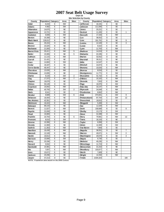**Chart 16 Site Selection by County**

| County          | Population Category |                | Area      | <b>Sites</b>   | County           | Population Category |                | Area      | <b>Sites</b>   |
|-----------------|---------------------|----------------|-----------|----------------|------------------|---------------------|----------------|-----------|----------------|
| Adair           | 8.243               | E              | SW        |                | Jefferson        | 16,181              | E              | <b>SE</b> |                |
| Adams           | 4,482               | E              | SW        |                | Johnson          | 111,006             | C              | <b>SE</b> |                |
| Allamakee       | 14,675              | Ε              | <b>NE</b> |                | Jones            | 20,221              | E              | <b>SE</b> |                |
| Appanoose       | 13,721              | E              | <b>SE</b> |                | Keokuk           | 11,400              | E              | <b>SE</b> | 1              |
| Audubon         | 6,830               | Ε              | SW        |                | Kossuth          | 17,163              | E              | <b>NW</b> |                |
| Benton          | 25,308              | E              | <b>NE</b> |                | Lee              | 38,052              | D              | <b>SE</b> |                |
| Black Hawk      | 128,012             | B              | <b>NE</b> |                | Linn             | 191,701             | B              | <b>NE</b> | 9              |
| Boone           | 26,224              | D              | <b>NW</b> |                | Louisa           | 12,183              | E              | <b>SE</b> | 3              |
| Bremer          | 23,325              | B              | <b>NE</b> |                | Lucas            | 9,422               | E              | <b>SE</b> |                |
| <b>Buchanan</b> | 21,093              | E              | <b>NE</b> |                | Lyon             | 11,763              | E              | <b>NW</b> |                |
| Buena Vista     | 20,411              | E              | <b>NW</b> | 5              | Madison          | 14,019              | E              | SW        |                |
| <b>Butler</b>   | 15,305              | E              | <b>NE</b> | 5              | Mahaska          | 22,335              | E              | <b>SE</b> |                |
| Calhoun         | 11,115              | Ē              | <b>NW</b> |                | <b>Marion</b>    | 32,052              | D              | <b>SE</b> |                |
| Carroll         | 21,421              | E              | <b>NE</b> |                | <b>Marshall</b>  | 39,311              | D              | <b>NE</b> |                |
| Cass            | 14,684              | E              | SW        |                | Mills            | 14,547              | E              | SW        |                |
| Cedar           | 18,187              | E              | <b>SE</b> |                | Mitchell         | 10,874              | E              | <b>NE</b> |                |
| Cerro Gordo     | 46,447              | D              | <b>NE</b> |                | Monona           | 10,020              | E              | <b>NW</b> |                |
| Cherokee        | 13,035              | Ε              | <b>NW</b> |                | Monroe           | 8,016               | E              | <b>SE</b> |                |
| Chickasaw       | 13,095              | E              | <b>NE</b> |                | Montgomery       | 11,771              | E              | SW        |                |
| Clarke          | 9,133               | E              | SW        | $\overline{2}$ | <b>Muscatine</b> | 41,722              | E              | <b>SE</b> |                |
| Clay            | 17,372              | E              | <b>NW</b> | $\overline{7}$ | O'Brien          | 15,102              | E              | <b>NW</b> |                |
| Clayton         | 18,678              | E              | <b>NE</b> |                | Osceola          | 7,003               | E              | <b>NW</b> |                |
| Clinton         | 50,149              | D              | <b>SE</b> |                | Page             | 16,976              | E              | SW        |                |
| Crawford        | 16,942              | $\overline{E}$ | <b>NW</b> |                | Palo Alto        | 10,147              | E              | <b>NW</b> |                |
| Dallas          | 40,750              | A              | SW        | $\overline{2}$ | <b>Plymouth</b>  | 24,849              | E              | <b>NW</b> |                |
| Davis           | 8.541               | E              | <b>SE</b> |                | Pocahontas       | 8,662               | E              | <b>NW</b> |                |
| Decatur         | 8,689               | E              | SW        | 6              | Polk             | 374,601             | A              | SW        | 9              |
| Delaw are       | 18,404              | E              | <b>NE</b> |                | Pottaw attami    | 87,704              | $\overline{C}$ | SW        | 12             |
| Des Moines      | 42,351              | D              | <b>SE</b> |                | Poweshiek        | 18,815              | E              | <b>SE</b> |                |
| Dickinson       | 16,424              | E              | <b>NW</b> |                | Ringgold         | 5,469               | E              | SW        |                |
| Dubuque         | 89,143              | C              | <b>NE</b> |                | Sac              | 11,529              | E              | <b>NW</b> |                |
| Emmet           | 11,027              | E              | <b>NW</b> |                | <b>Scott</b>     | 158,668             | B              | <b>SE</b> | 8              |
| Fayette         | 22,008              | D              | <b>NE</b> |                | Shelby           | 13,173              | Ē              | SW        |                |
| Floyd           | 16,900              | E              | <b>NE</b> |                | Sioux            | 31,589              | D              | <b>NW</b> |                |
| Franklin        | 10,704              | E              | <b>NE</b> | 6              | Story            | 79,981              | D              | <b>NW</b> | 12             |
| Fremont         | 8,010               | E              | SW        |                | Tama             | 18,103              | E              | <b>NE</b> |                |
| Greene          | 10,366              | E              | <b>NW</b> |                | Taylor           | 6,958               | E              | SW        |                |
| Grundy          | 12,369              | E              | <b>NE</b> |                | <b>Union</b>     | 12,309              | E              | SW        |                |
| Guthrie         | 11,353              | Ē              | <b>NW</b> |                | Van Buren        | 7,809               | Ē              | <b>SE</b> |                |
| Ham ilton       | 16,438              | E              | <b>NW</b> |                | Wapello          | 36,051              | D              | <b>SE</b> | $\overline{7}$ |
| Hancock         | 12,100              | E              | <b>NW</b> |                | Warren           | 40,671              | A              | SW        | $\overline{2}$ |
| Hardin          | 18,812              | E              | <b>NE</b> |                | Washington       | 20,670              | E              | <b>SE</b> | $\overline{4}$ |
| Harrison        | 15,666              | E              | SW        |                | Wayne            | 6,730               | E              | <b>SE</b> |                |
| Henry           | 20,336              | E              | <b>SE</b> |                | <b>Webster</b>   | 40,235              | D              | <b>NW</b> |                |
| How ard         | 9,932               | E              | <b>NE</b> |                | Winnebago        | 11,723              | E              | <b>NW</b> |                |
| Hum boldt       | 10,381              | E              | <b>NW</b> |                | Winneshiek       | 21,310              | E              | <b>NE</b> |                |
| Ida             | 7,837               | E              | <b>NW</b> |                | Woodbury         | 103,877             | C              | <b>NW</b> |                |
| low a           | 15,671              | E              | <b>SE</b> |                | Worth            | 7,909               | E              | <b>NE</b> |                |
| Jackson         | 20,296              | E              | <b>NE</b> |                | Wright           | 14,334              | E              | <b>NW</b> |                |
| Jasper          | 37,213              | D              | <b>SE</b> |                | <b>Totals</b>    | 2,926,324           |                |           | 100            |
|                 |                     |                |           |                |                  |                     |                |           |                |

**NOTE: Population data based on the 2000 Census**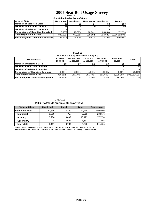### **Chart 17 2007 Seat Belt Usage Survey**

**Site Selection by Area of State**

| <b>Area of State</b>                        | <b>Northeast</b> | Southeast       | <b>Northwest</b> | <b>│Southwest</b> | <b>Totals</b> |
|---------------------------------------------|------------------|-----------------|------------------|-------------------|---------------|
| <b>Number of Selected Sites</b>             | <b>20</b>        | 23              | 24               | 33                | 100           |
| <b>INumber of Possible Counties</b>         | 25 <sub>l</sub>  | 25 <sub>1</sub> | 29               |                   | 99            |
| <b>Number of Selected Counties</b>          |                  |                 |                  |                   | 17            |
| Percentage of Counties Selected             | 12.00%           | $16.00\%$       | $10.34\%$        | 30.00%            | 17.17%        |
| <b>Total Population in Area</b>             | 835.135          | 777.502         | 599.002          | 714.685           | 2.926.324.00  |
| <b>Percentage of Total State Population</b> | 28.54%           | 26.57%          | 20.47%           | 24.42%            | 100.00%       |

**Chart 18**

| Site Selection by Population Category  |                     |                         |                            |                           |                   |                 |  |  |  |  |
|----------------------------------------|---------------------|-------------------------|----------------------------|---------------------------|-------------------|-----------------|--|--|--|--|
| <b>Area of State</b>                   | A - Over<br>200.000 | B-150.000<br>to 200,000 | $C - 75.000$<br>to 150,000 | $D - 25.000$<br>to 75,000 | E-Under<br>25.000 | Total           |  |  |  |  |
| Number of Selected Sites               | 13                  |                         |                            | 19 <sub>1</sub>           | 39                | 61              |  |  |  |  |
| Number of Possible Counties            |                     |                         |                            | 13.                       | 75                | 24 <sup>1</sup> |  |  |  |  |
| Number of Selected Counties            |                     |                         |                            |                           |                   | 17              |  |  |  |  |
| <b>Percentage of Counties Selected</b> | $3.00\%$            | 2.00%                   | 1.00%                      | 2.00%                     | $9.00\%$          | 17.00%          |  |  |  |  |
| <b>Total Population in Area</b>        | 456.022             | 501.706                 | 391.730                    | 521.663                   | 1.055.203         | 2,926,324.00    |  |  |  |  |
| Percentage of Total State Population   | 15.58%              | 17.14%                  | 13.39%                     | 17.83%                    | 36.06%            | 100.00%         |  |  |  |  |

**Chart 19 2006 Statewide Vehicle Miles of Travel**

| <b>Vehicle Miles</b>   | <b>Municipal</b> | <b>Rural</b> | <b>Total</b> | Percentage |
|------------------------|------------------|--------------|--------------|------------|
| <b>Statewide Total</b> | 11,899           | 15,320       | 27,219       | 100.00%    |
| <b>Municipal</b>       | 6,518            | <b>NA</b>    | 6.518        | 23.95%     |
| Primary                | 3.274            | 6.899        | 10.173       | 37.37%     |
| Secondary              | <b>NA</b>        | 4,682        | 4,682        | 17.20%     |
| <b>Interstate</b>      | 2.107            | 3.739        | 5,846        | 21.48%     |

**NOTE:** Vehicle miles of travel reported in 1,000,000 and provided by the lowa Dept. of Transportation's Office of Transportation Data & counts only cars, pickups, vans & SUVs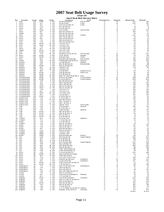# **Chart 20 2007 Seat Belt Usage Survey**

|  | -------- |                             |  |
|--|----------|-----------------------------|--|
|  |          | pril Seat Relt Survey Sites |  |

|                              |                                |                        |                          |                                 |                                               | <b>April Seat Belt Survey Sites</b> |            |                   |               |               |
|------------------------------|--------------------------------|------------------------|--------------------------|---------------------------------|-----------------------------------------------|-------------------------------------|------------|-------------------|---------------|---------------|
| Νo                           | County                         | Area                   | Day                      | Time                            | Location                                      | City                                | Population | System            | Observed      | <b>Belted</b> |
| ำ<br>$\overline{\mathbf{c}}$ | Polk<br>Story                  | <b>SW</b><br><b>NW</b> | <b>MON</b><br><b>SAT</b> | 4 PM<br>6 PM                    | Aurora @ Beaver<br>6th @ Grand                | Des Moines<br>Ames                  | A<br>D     | м<br>м            | 187<br>200    | 165<br>190    |
| 3                            | Story                          | <b>NW</b>              | SAT                      | <b>PM</b><br>2                  | Duff Exit @ Hwy 30                            | Ames                                | D          | P                 | 77            | 68            |
| 4                            | Story                          | <b>NW</b>              | TUE                      | $\overline{2}$<br><b>PM</b>     | E23 @ Hwy 69                                  |                                     | D          | S                 | 78            | 74            |
| 5                            | Story                          | <b>NW</b>              | SAT                      | <b>PM</b><br>4                  | E63 @ Hwy 65                                  |                                     | D          | s                 | 14            | 11            |
| 6                            | Polk                           | SW                     | WED                      | 9<br>AM                         | 7th & Grand                                   | Des M oines                         | Α          | М                 | 429           | 407           |
| 7                            | Story                          | <b>NW</b>              | <b>SAT</b>               | PM<br>4                         | Hwy 133 @ Hwy 30                              |                                     | D          | P                 | 106           | 97            |
| 8<br>9                       | Dallas                         | SW<br>SW               | SAT<br>TUE               | 2<br>PM<br>4<br><b>PM</b>       | Hwy 141 @ Hwy 210<br>Hwy 160 @ Hwy 69         |                                     | Α<br>Α     | Ρ<br>Ρ            | 35<br>202     | 32<br>170     |
| 10                           | Polk<br>Story                  | <b>NW</b>              | <b>SAT</b>               | 6<br>PM                         | Hwy 210 @ Hwy 65                              | Ankeny                              | D          | P                 | 16            | 15            |
| 11                           | Story                          | <b>NW</b>              | <b>SAT</b>               | $\overline{c}$<br>PM            | Hwy 210 @ Hwy 69                              |                                     | D          | P                 | 38            | 35            |
| 12                           | Story                          | NW                     | FRI                      | 2<br><b>PM</b>                  | Hwy 65 @ Hwy 30                               |                                     | D          | Ρ                 | 105           | 96            |
| 13                           | Polk                           | SW                     | TUE                      | 6<br><b>PM</b>                  | Hwy 945 @ Hwy 931                             |                                     | Α          | Ρ                 | 55            | 48            |
| 14                           | Story                          | <b>NW</b>              | <b>MON</b>               | 10<br>AM                        | I-35 Exit #123                                |                                     | D          |                   | 30            | 29            |
| 15                           | Polk                           | SW                     | WED                      | 10<br>AM                        | I-35 Exit #92                                 |                                     | Α          |                   | 85            | 78            |
| 16                           | Polk                           | SW                     | FRI                      | PM<br>6                         | I-35 Rest Area                                |                                     | Α<br>D     |                   | 36            | 35            |
| 17<br>18                     | Story<br>Dallas                | <b>NW</b><br>SW        | SAT<br><b>MON</b>        | 12<br>PM<br>AM<br>8             | I-35 Rest Area<br>I-80 Exit #110              |                                     | Α          |                   | 59<br>61      | 54<br>56      |
| 19                           | Polk                           | SW                     | <b>MON</b>               | 9<br><b>PM</b>                  | I-80 Exit # 143                               |                                     | Α          | -                 | 93            | 87            |
| 20                           | Polk                           | SW                     | <b>FRI</b>               | 10<br>AM                        | Indianola Ave @ SE 8th                        | Des Moines                          | Α          | М                 | 349           | 332           |
| 21                           | Story                          | <b>NW</b>              | <b>MON</b>               | 6<br>PM                         | J Ave. @ 6th                                  | Nevada                              | D          | м                 | 76            | 69            |
| 22                           | Story                          | <b>NW</b>              | <b>MON</b>               | 12<br><b>PM</b>                 | Main @ Clark                                  | Ames                                | D          | M                 | 217           | 201           |
| 23                           | Polk                           | SW                     | <b>SAT</b>               | 4<br><b>PM</b>                  | Meredith @ Merle Hay                          | Des Moines                          | А          | M                 | 750           | 691           |
| 24                           | Clarke                         | SW                     | THU                      | PM<br>12                        | E Washington @ Main St                        | Osceola                             | Е          | M                 | 179           | 142           |
| 25<br>26                     | Decat ur<br>Warren             | SW<br>SW               | THU<br><b>SAT</b>        | 8<br>AM<br>9<br>AM              | J 12 @ Hwy 69<br>Hwy 28 @ Hwy 92              | Weldon<br>M artensdale              | Е<br>Α     | Ρ<br>Ρ            | 27<br>123     | 25<br>115     |
| 27                           | Clarke                         | SW                     | <b>MON</b>               | $\overline{2}$<br>PM            | Hwy 34 @ Hwy 69                               |                                     | Е          | P                 | 374           | 320           |
| 28                           | Decat ur                       | SW                     | <b>SAT</b>               | 11<br>AM                        | I-35 Exit #12                                 |                                     | Е          | -1                | 99            | 90            |
| 29                           | Decatur                        | sw                     | THU                      | 10<br>AM                        | I-35 Exit #22                                 |                                     | Е          |                   | 4             | 4             |
| 30                           | Decat ur                       | SW                     | SAT                      | 7<br>AM                         | J 20 @ R69                                    | Garden Grove                        | Е          | s                 | 24            | 21            |
| 31                           | Decat ur                       | SW                     | <b>MON</b>               | <b>PM</b><br>4                  | J 66 @ Hwy 69                                 | Davis City                          | Е          | s                 | 30            | 25            |
| 32                           | Warren                         | SW                     | <b>MON</b>               | 6<br><b>PM</b>                  | R 57 @ Hwy 92                                 |                                     | Α          | S                 | 49            | 46            |
| 33<br>34                     | Decat ur<br>Pottawattamie      | SW<br>SW               | WED<br><b>MON</b>        | <b>PM</b><br>12<br>3<br>PM      | West Jct. Hwy 69 @ Hwy 2<br>9th Ave. @ S 16th | Leon                                | Ε<br>C     | P<br>M            | 59            | 55            |
| 35                           | Pottawattamie                  | SW                     | <b>MON</b>               | <b>PM</b><br>5                  | A Ave & 25th St                               | Council Bluffs<br>Council Bluffs    | C          | М                 | 398<br>348    | 361<br>320    |
| 36                           | Pottawattamie                  | SW                     | <b>TUE</b>               | 9<br>AM                         | Hwy 191 @ Hwy 83                              |                                     | C          | P                 | 94            | 85            |
| 37                           | Pottawattamie                  | SW                     | SAT                      | PM<br>$\mathbf{1}$              | Hwy 6 @ Hwy 191                               |                                     | C          | P                 | 259           | 233           |
| 38                           | Pottawattamie                  | SW                     | TUE                      | 9<br>AM                         | Hwy 6 @ Hwy 59                                |                                     | C          | Ρ                 | 125           | 113           |
| 39                           | Pottawattamie                  | SW                     | WED                      | 8<br>AM                         | Hwy 83 @ Hwy 59                               |                                     | C          | Ρ                 | 112           | 101           |
| 40                           | Pottawattamie                  | SW                     | WED                      | 12<br>PM                        | Hwy 92 @ Hwy 59                               |                                     | С          | P                 | 134           | 117           |
| 41                           | Pottawattamie                  | SW                     | TUE                      | 7<br>AM                         | I-29 Exit #47                                 |                                     | С          | $\blacksquare$    | 146           | 130           |
| 42<br>43                     | Pottawattamie                  | SW<br>SW               | SAT<br>WED               | PM<br>5<br>10<br>AM             | $I-80$ Exit #40                               |                                     | C<br>C     | -1                | 159<br>193    | 146           |
| 44                           | Pottawattamie<br>Pottawattamie | SW                     | SAT                      | 3 PM                            | I-80 Rest Area<br>L 55 @ Hwy 6                |                                     | C          | s                 | 143           | 188<br>125    |
| 45                           | Pottawattamie                  | SW                     | <b>MON</b>               | 1 PM                            | M 16 @ Hwy 92                                 |                                     | C          | s                 | 36            | 36            |
| 46                           | Buena Vista                    | <b>NW</b>              | TUE                      | 8<br>AM                         | C 49 @ Hwy 71                                 |                                     | Ε          | s                 | 109           | 96            |
| 47                           | Buena Vista                    | <b>NW</b>              | TUE                      | 10<br>AM                        | Hwy 110 @ Hwy 7                               |                                     | Е          | P                 | 60            | 50            |
| 48                           | Buena Vista                    | <b>NW</b>              | TUE                      | 1 PM                            | Hwy 7 @ Hwy 71                                |                                     | Е          | P                 | 99            | 93            |
| 49                           | Buena Vista                    | <b>NW</b>              | TUE                      | 12<br><b>PM</b>                 | Hwy 7 @ Hwy 71                                |                                     | Е          | P                 | 94            | 90            |
| 50                           | Buena Vista                    | <b>NW</b>              | TUE                      | 9<br>AM                         | Lake @ Third                                  | Storm Lake                          | Е<br>Е     | M                 | 50            | 43<br>153     |
| 51<br>52                     | Clay<br>Clay                   | NW<br><b>NW</b>        | THU<br>THU               | 2<br>PM<br>6<br><b>PM</b>       | 4th @ Grand<br>B 53 @ Hwy 71                  | Spencer                             | Е          | M<br>s            | 166<br>13     | 12            |
| 53                           | Clay                           | <b>NW</b>              | THU                      | 4<br><b>PM</b>                  | Grand @ 18th                                  | Spencer                             | Е          | м                 | 519           | 475           |
| 54                           | Clay                           | <b>NW</b>              | <b>MON</b>               | PM<br>6                         | Hwy 10 @ Hwy 71                               |                                     | Е          | P                 | 34            | 32            |
| 55                           | Clay                           | NW                     | <b>MON</b>               | 8<br>AM                         | Hwy 18 @ Hwy 71                               |                                     | Е          | Ρ                 | 66            | 63            |
| 56                           | Clay                           | <b>NW</b>              | <b>MON</b>               | 12<br><b>PM</b>                 | B40 @ Hwy 71                                  |                                     | Е          | Ρ                 | 51            | 44            |
| 57                           | Clay                           | <b>NW</b>              | <b>MON</b>               | 10<br>AM                        | N 14 @ Hwy 18                                 |                                     | Е          | S                 | 21            | 17            |
| 58                           | Franklin                       | <b>NE</b>              | <b>SAT</b>               | <b>PM</b><br>12                 | 1st @ 1st Ave                                 | Hampton                             | Е          | M                 | 49            | 49            |
| 59<br>60                     | Franklin<br><b>Butler</b>      | NE<br><b>NE</b>        | <b>FRI</b><br><b>FRI</b> | <b>PM</b><br>3<br>1 PM          | C 25 @ Hwy 65<br>C 55 @ Hwy 14                |                                     | Ε<br>Ε     | S<br>S            | 35<br>5       | 35<br>5       |
| 61                           | Franklin                       | <b>NE</b>              | TUE                      | 1 PM                            | Hwy 107 @ Hwy 3                               |                                     | Ε          | P                 | 13            | 12            |
| 62                           | <b>Butler</b>                  | <b>NE</b>              | <b>FRI</b>               | 5 PM                            | Hwy 14 @ Hwy 20                               |                                     | Ε          | P                 | 107           | 103           |
| 63                           | Butler                         | <b>NE</b>              | TUE                      | 3<br><b>PM</b>                  | Hwy 14 @ Hwy 3                                |                                     | Е          | P                 | 40            | 37            |
| 64                           | Butler                         | NE                     | SAT                      | 8<br>AM                         | Hwy 188 @ Hwy 3                               |                                     | Е          | Р                 | 46            | 43            |
| 65                           | Franklin                       | <b>NE</b>              | TUE                      | 5<br><b>PM</b>                  | Hwy 65 @ Hwy 3                                |                                     | Е          | Р                 | 101           | 89            |
| 66                           | Franklin                       | <b>NE</b>              | WED                      | 6<br><b>PM</b>                  | I-35 Exit #165                                |                                     | Е          |                   | 43            | 43            |
| 67                           | Franklin                       | <b>NE</b>              | WED<br>WED               | PM<br>4                         | I-35 Exit #170                                |                                     | Е<br>Е     | M                 | 76<br>114     | 75<br>92      |
| 68                           | Butler<br>69 Linn              | <b>NE</b><br><b>NE</b> | TUE                      | 2 PM<br>7<br>ΑM                 | Main @ Railroad<br>8th Ave @ 2nd              | Allison<br>Cedar Rapids             | в          | м                 | 260           | 243           |
| 70                           | Linn                           | <b>NE</b>              | <b>SAT</b>               | 1 PM                            | E 34 @ Hwy 13                                 |                                     | в          | S                 | 156           | 147           |
| 71                           | Linn                           | <b>NE</b>              | SAT                      | 8 AM                            | E 70 @ Hwy 151                                |                                     | в          | s                 | 23            | 22            |
| 72                           | Linn                           | NE                     | TUE                      | 9<br>AM                         | First Ave @ 29th                              | Cedar Rapids                        | В          | м                 | 222           | 203           |
| 73                           | Linn                           | <b>NE</b>              | <b>FRI</b>               | $\mathbf{1}$<br>PM              | Hwy 1 @ Hwy 30                                |                                     | в          | P                 | 164           | 152           |
| 74                           | Linn                           | <b>NE</b>              | SAT                      | 10<br>AM                        | Hwy 13 @ Hwy 151                              |                                     | В          | P                 | 300           | 282           |
| 75                           | Linn                           | <b>NE</b>              | <b>FRI</b><br><b>TUE</b> | AM<br>10                        | Hwy 30 @ Hwy 1                                |                                     | B<br>B     | P<br>$\mathbf{I}$ | 151           | 138           |
| 76<br>77                     | Linn<br>Linn                   | <b>NE</b><br><b>NE</b> | TUE                      | 1 PM<br>11 AM                   | I-380 Mile Marker 13<br>I-380 Mile Marker 25  |                                     | B          | -1                | 116<br>53     | 113<br>52     |
| 78                           | Scott                          | <b>SE</b>              | TUE                      | 4 PM                            | F 55 Exit @ Hwy 61                            |                                     | в          | Р                 | 203           | 180           |
| 79                           | Scott                          | <b>SE</b>              | <b>MON</b>               | 12 PM                           | Hwy 61 @ Hwy 22 Ramp                          |                                     | в          | P                 | 87            | 76            |
| 80                           | Scott                          | <b>SE</b>              | <b>SAT</b>               | PM<br>5                         | I-280 Hwy 61 Exit                             |                                     | в          | -1                | 0             | $\mathbf 0$   |
| 81                           | Scott                          | <b>SE</b>              | TUE                      | 2<br>PM                         | I-80 Exit #284 (Y40)                          |                                     | в          | -1                | 169           | 151           |
| 82                           | Scott                          | <b>SE</b>              | TUE                      | 6<br><b>PM</b>                  | Kimberly @ Harrison                           | Davenport                           | В          | м                 | 455           | 421           |
| 83<br>84                     | Scott<br>Scott                 | <b>SE</b><br><b>SE</b> | <b>SAT</b><br><b>MON</b> | з<br>PM<br>8<br>AM              | Locust @ Brady<br>Long Grove Exit @ Hwy 61    | Davenport                           | В<br>В     | м<br>P            | 307<br>79     | 243<br>76     |
| 85                           | Scott                          | <b>SE</b>              | <b>MON</b>               | 10<br>AM                        | Y 48 @ Hwy 61                                 |                                     | В          | S                 | 110           | 106           |
| 86                           | Washington                     | SE                     | <b>FRI</b>               | 11 AM                           | East 7th @ North 4th                          | Washington                          | E          | м                 | 56            | 40            |
| 87                           | Washington                     | <b>SE</b>              | <b>FRI</b>               | 7<br>AM                         | G6W @ Hwy 92                                  |                                     | Е          | s                 | 27            | 22            |
| 88                           | Washington                     | <b>SE</b>              | <b>SAT</b>               | 9<br>AM                         | Hwy 1 @ Hwy 92                                |                                     | Ε          | P                 | 111           | 107           |
| 89                           | Washington                     | <b>SE</b>              | TUE                      | <b>PM</b><br>12                 | Hwy 218 Ramp @ Hwy 92                         |                                     | Е          | P                 | 47            | 44            |
| 90                           | Louisa                         | <b>SE</b>              | <b>FRI</b>               | 9<br>AM                         | Hwy 92 @ Hwy 61                               |                                     | Е          | P                 | 88            | 83            |
| 91                           | Louisa                         | <b>SE</b>              | <b>SAT</b>               | 11<br>AM                        | South 4th @ Washington                        | Wapello                             | Е          | м                 | 25            | 19            |
| 92<br>93                     | Louisa<br>Wapello              | <b>SE</b><br><b>SE</b> | <b>SAT</b><br><b>MON</b> | AM<br>$\overline{7}$<br>9<br>AM | X 43 @ Hwy 92<br>Church @ Richmond            | Ottumwa                             | Е<br>D     | s<br>M            | 19<br>283     | 18<br>246     |
| 94                           | Wapello                        | SE                     | THU                      | PM<br>2                         | East Jct. Hwy 34 @ Hwy 63                     |                                     | D          | Ρ                 | 671           | 619           |
| 95                           | Wapello                        | <b>SE</b>              | THU                      | 6 PM                            | Hwy 137@ Hwy 63                               |                                     | D          | Ρ                 | 261           | 254           |
| 96                           | Keokuk                         | <b>SE</b>              | <b>MON</b>               | 11 AM                           | Hwy 149 @ Hwy 23                              |                                     | D          | P                 | 100           | 100           |
| 97                           | Wapello                        | <b>SE</b>              | THU                      | 4 PM                            | Hwy 16 @ Hwy 34                               |                                     | D          | P                 | 160           | 158           |
| 98                           | Wapello                        | <b>SE</b>              | THU                      | 2<br><b>PM</b>                  | T61@ Hwy 34                                   |                                     | D          | s                 | 106           | 94            |
| 99                           | Wapello                        | <b>SE</b>              | THU                      | 4<br><b>PM</b>                  | V 37 (College St) @ Hwy 34 Agency             |                                     | D          | s                 | 134           | 127           |
|                              | 100 Wapello                    | <b>SE</b>              | THU                      | 6 PM                            | Wapello St @ Albia Rd                         | Ottumwa                             | Е          | м                 | 337<br>13,604 | 304           |
|                              |                                |                        |                          |                                 |                                               |                                     |            |                   |               | 12,429        |